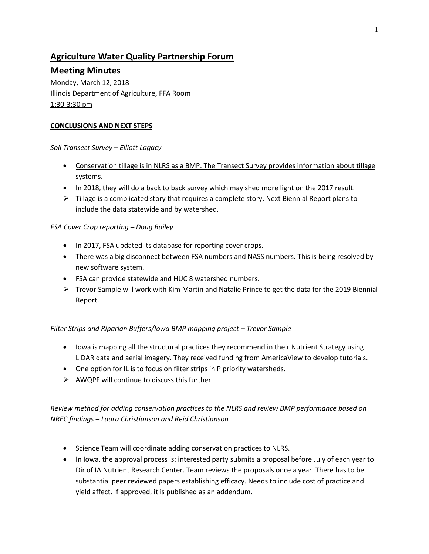# **Agriculture Water Quality Partnership Forum**

# **Meeting Minutes**

Monday, March 12, 2018 Illinois Department of Agriculture, FFA Room 1:30-3:30 pm

#### **CONCLUSIONS AND NEXT STEPS**

#### *Soil Transect Survey – Elliott Lagacy*

- Conservation tillage is in NLRS as a BMP. The Transect Survey provides information about tillage systems.
- In 2018, they will do a back to back survey which may shed more light on the 2017 result.
- $\triangleright$  Tillage is a complicated story that requires a complete story. Next Biennial Report plans to include the data statewide and by watershed.

# *FSA Cover Crop reporting – Doug Bailey*

- In 2017, FSA updated its database for reporting cover crops.
- There was a big disconnect between FSA numbers and NASS numbers. This is being resolved by new software system.
- FSA can provide statewide and HUC 8 watershed numbers.
- $\triangleright$  Trevor Sample will work with Kim Martin and Natalie Prince to get the data for the 2019 Biennial Report.

# *Filter Strips and Riparian Buffers/Iowa BMP mapping project – Trevor Sample*

- Iowa is mapping all the structural practices they recommend in their Nutrient Strategy using LIDAR data and aerial imagery. They received funding from AmericaView to develop tutorials.
- One option for IL is to focus on filter strips in P priority watersheds.
- $\triangleright$  AWQPF will continue to discuss this further.

# *Review method for adding conservation practices to the NLRS and review BMP performance based on NREC findings – Laura Christianson and Reid Christianson*

- Science Team will coordinate adding conservation practices to NLRS.
- In Iowa, the approval process is: interested party submits a proposal before July of each year to Dir of IA Nutrient Research Center. Team reviews the proposals once a year. There has to be substantial peer reviewed papers establishing efficacy. Needs to include cost of practice and yield affect. If approved, it is published as an addendum.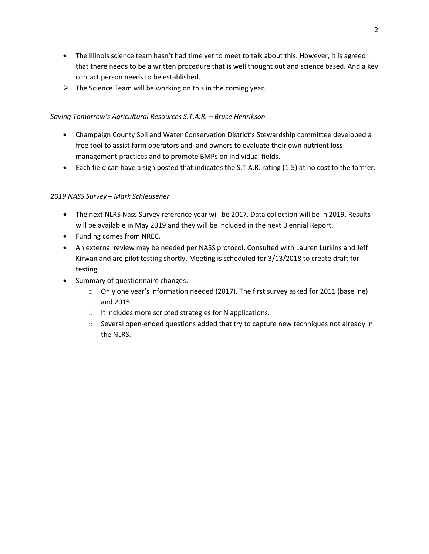- The Illinois science team hasn't had time yet to meet to talk about this. However, it is agreed that there needs to be a written procedure that is well thought out and science based. And a key contact person needs to be established.
- $\triangleright$  The Science Team will be working on this in the coming year.

### *Saving Tomorrow's Agricultural Resources S.T.A.R. – Bruce Henrikson*

- Champaign County Soil and Water Conservation District's Stewardship committee developed a free tool to assist farm operators and land owners to evaluate their own nutrient loss management practices and to promote BMPs on individual fields.
- Each field can have a sign posted that indicates the S.T.A.R. rating (1-5) at no cost to the farmer.

#### *2019 NASS Survey – Mark Schleusener*

- The next NLRS Nass Survey reference year will be 2017. Data collection will be in 2019. Results will be available in May 2019 and they will be included in the next Biennial Report.
- Funding comes from NREC.
- An external review may be needed per NASS protocol. Consulted with Lauren Lurkins and Jeff Kirwan and are pilot testing shortly. Meeting is scheduled for 3/13/2018 to create draft for testing
- Summary of questionnaire changes:
	- $\circ$  Only one year's information needed (2017). The first survey asked for 2011 (baseline) and 2015.
	- o It includes more scripted strategies for N applications.
	- $\circ$  Several open-ended questions added that try to capture new techniques not already in the NLRS.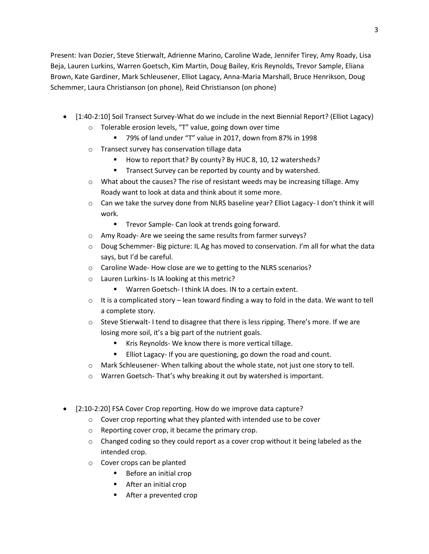Present: Ivan Dozier, Steve Stierwalt, Adrienne Marino, Caroline Wade, Jennifer Tirey, Amy Roady, Lisa Beja, Lauren Lurkins, Warren Goetsch, Kim Martin, Doug Bailey, Kris Reynolds, Trevor Sample, Eliana Brown, Kate Gardiner, Mark Schleusener, Elliot Lagacy, Anna-Maria Marshall, Bruce Henrikson, Doug Schemmer, Laura Christianson (on phone), Reid Christianson (on phone)

- [1:40-2:10] Soil Transect Survey-What do we include in the next Biennial Report? (Elliot Lagacy)
	- o Tolerable erosion levels, "T" value, going down over time
		- 79% of land under "T" value in 2017, down from 87% in 1998
	- o Transect survey has conservation tillage data
		- How to report that? By county? By HUC 8, 10, 12 watersheds?
		- **Transect Survey can be reported by county and by watershed.**
	- $\circ$  What about the causes? The rise of resistant weeds may be increasing tillage. Amy Roady want to look at data and think about it some more.
	- o Can we take the survey done from NLRS baseline year? Elliot Lagacy- I don't think it will work.
		- **Trevor Sample- Can look at trends going forward.**
	- o Amy Roady- Are we seeing the same results from farmer surveys?
	- $\circ$  Doug Schemmer- Big picture: IL Ag has moved to conservation. I'm all for what the data says, but I'd be careful.
	- o Caroline Wade- How close are we to getting to the NLRS scenarios?
	- o Lauren Lurkins- Is IA looking at this metric?
		- Warren Goetsch- I think IA does. IN to a certain extent.
	- $\circ$  It is a complicated story lean toward finding a way to fold in the data. We want to tell a complete story.
	- $\circ$  Steve Stierwalt- I tend to disagree that there is less ripping. There's more. If we are losing more soil, it's a big part of the nutrient goals.
		- Kris Reynolds- We know there is more vertical tillage.
		- Elliot Lagacy- If you are questioning, go down the road and count.
	- o Mark Schleusener- When talking about the whole state, not just one story to tell.
	- o Warren Goetsch- That's why breaking it out by watershed is important.
- [2:10-2:20] FSA Cover Crop reporting. How do we improve data capture?
	- o Cover crop reporting what they planted with intended use to be cover
	- o Reporting cover crop, it became the primary crop.
	- $\circ$  Changed coding so they could report as a cover crop without it being labeled as the intended crop.
	- o Cover crops can be planted
		- **Before an initial crop**
		- **After an initial crop**
		- After a prevented crop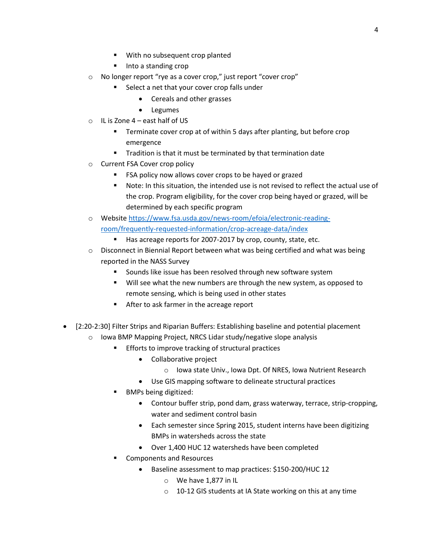- With no subsequent crop planted
- Into a standing crop
- o No longer report "rye as a cover crop," just report "cover crop"
	- Select a net that your cover crop falls under
		- Cereals and other grasses
		- Legumes
- $\circ$  IL is Zone 4 east half of US
	- Terminate cover crop at of within 5 days after planting, but before crop emergence
	- **Tradition is that it must be terminated by that termination date**
- o Current FSA Cover crop policy
	- **FICA** policy now allows cover crops to be hayed or grazed
	- Note: In this situation, the intended use is not revised to reflect the actual use of the crop. Program eligibility, for the cover crop being hayed or grazed, will be determined by each specific program
- o Websit[e https://www.fsa.usda.gov/news-room/efoia/electronic-reading](https://www.fsa.usda.gov/news-room/efoia/electronic-reading-room/frequently-requested-information/crop-acreage-data/index)[room/frequently-requested-information/crop-acreage-data/index](https://www.fsa.usda.gov/news-room/efoia/electronic-reading-room/frequently-requested-information/crop-acreage-data/index)
	- Has acreage reports for 2007-2017 by crop, county, state, etc.
- $\circ$  Disconnect in Biennial Report between what was being certified and what was being reported in the NASS Survey
	- **Sounds like issue has been resolved through new software system**
	- Will see what the new numbers are through the new system, as opposed to remote sensing, which is being used in other states
	- After to ask farmer in the acreage report
- [2:20-2:30] Filter Strips and Riparian Buffers: Establishing baseline and potential placement
	- o Iowa BMP Mapping Project, NRCS Lidar study/negative slope analysis
		- **Efforts to improve tracking of structural practices** 
			- Collaborative project
				- o Iowa state Univ., Iowa Dpt. Of NRES, Iowa Nutrient Research
			- Use GIS mapping software to delineate structural practices
		- BMPs being digitized:
			- Contour buffer strip, pond dam, grass waterway, terrace, strip-cropping, water and sediment control basin
			- Each semester since Spring 2015, student interns have been digitizing BMPs in watersheds across the state
			- Over 1,400 HUC 12 watersheds have been completed
		- Components and Resources
			- Baseline assessment to map practices: \$150-200/HUC 12
				- o We have 1,877 in IL
				- 10-12 GIS students at IA State working on this at any time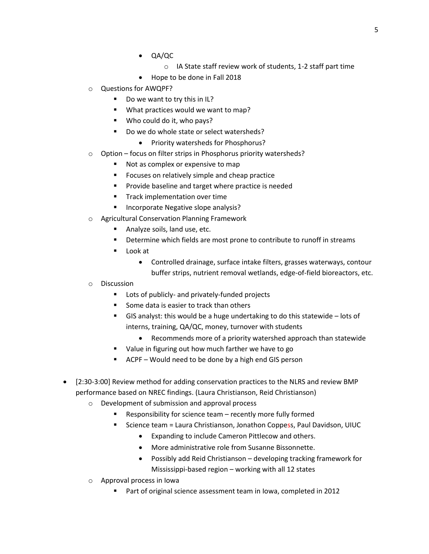- QA/QC
	- o IA State staff review work of students, 1-2 staff part time
- Hope to be done in Fall 2018
- o Questions for AWQPF?
	- Do we want to try this in IL?
	- **What practices would we want to map?**
	- Who could do it, who pays?
	- Do we do whole state or select watersheds?
		- Priority watersheds for Phosphorus?
- o Option focus on filter strips in Phosphorus priority watersheds?
	- Not as complex or expensive to map
	- Focuses on relatively simple and cheap practice
	- Provide baseline and target where practice is needed
	- **Track implementation over time**
	- Incorporate Negative slope analysis?
- o Agricultural Conservation Planning Framework
	- **Analyze soils, land use, etc.**
	- Determine which fields are most prone to contribute to runoff in streams
	- Look at
		- Controlled drainage, surface intake filters, grasses waterways, contour buffer strips, nutrient removal wetlands, edge-of-field bioreactors, etc.
- o Discussion
	- **Lots of publicly- and privately-funded projects**
	- Some data is easier to track than others
	- GIS analyst: this would be a huge undertaking to do this statewide lots of interns, training, QA/QC, money, turnover with students
		- Recommends more of a priority watershed approach than statewide
	- Value in figuring out how much farther we have to go
	- ACPF Would need to be done by a high end GIS person
- [2:30-3:00] Review method for adding conservation practices to the NLRS and review BMP performance based on NREC findings. (Laura Christianson, Reid Christianson)
	- o Development of submission and approval process
		- Responsibility for science team recently more fully formed
			- Science team = Laura Christianson, Jonathon Coppess, Paul Davidson, UIUC
				- Expanding to include Cameron Pittlecow and others.
				- More administrative role from Susanne Bissonnette.
				- Possibly add Reid Christianson developing tracking framework for Mississippi-based region – working with all 12 states
	- o Approval process in Iowa
		- Part of original science assessment team in Iowa, completed in 2012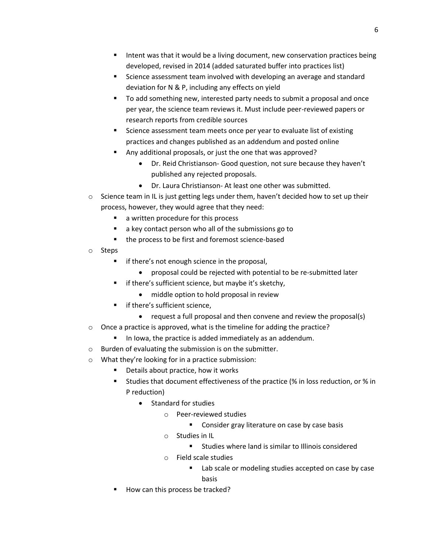- Intent was that it would be a living document, new conservation practices being developed, revised in 2014 (added saturated buffer into practices list)
- Science assessment team involved with developing an average and standard deviation for N & P, including any effects on yield
- To add something new, interested party needs to submit a proposal and once per year, the science team reviews it. Must include peer-reviewed papers or research reports from credible sources
- Science assessment team meets once per year to evaluate list of existing practices and changes published as an addendum and posted online
- Any additional proposals, or just the one that was approved?
	- Dr. Reid Christianson- Good question, not sure because they haven't published any rejected proposals.
	- Dr. Laura Christianson- At least one other was submitted.
- $\circ$  Science team in IL is just getting legs under them, haven't decided how to set up their process, however, they would agree that they need:
	- **a** a written procedure for this process
	- a key contact person who all of the submissions go to
	- the process to be first and foremost science-based
- o Steps
	- **f** if there's not enough science in the proposal,
		- proposal could be rejected with potential to be re-submitted later
	- if there's sufficient science, but maybe it's sketchy,
		- middle option to hold proposal in review
	- **F** if there's sufficient science,
		- request a full proposal and then convene and review the proposal(s)
- o Once a practice is approved, what is the timeline for adding the practice?
	- In Iowa, the practice is added immediately as an addendum.
- o Burden of evaluating the submission is on the submitter.
- o What they're looking for in a practice submission:
	- Details about practice, how it works
	- Studies that document effectiveness of the practice (% in loss reduction, or % in P reduction)
		- Standard for studies
			- o Peer-reviewed studies
				- **Consider gray literature on case by case basis**
			- o Studies in IL
				- Studies where land is similar to Illinois considered
			- o Field scale studies
				- Lab scale or modeling studies accepted on case by case basis
	- How can this process be tracked?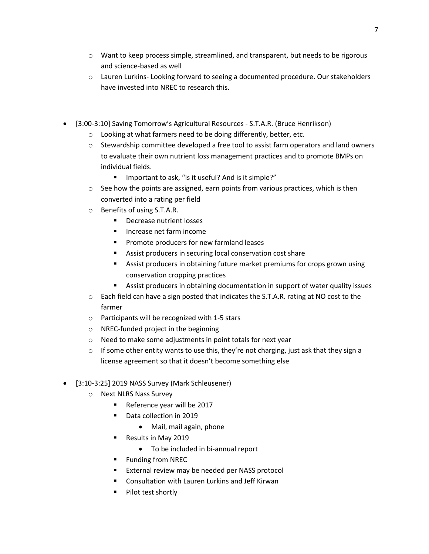- $\circ$  Want to keep process simple, streamlined, and transparent, but needs to be rigorous and science-based as well
- o Lauren Lurkins- Looking forward to seeing a documented procedure. Our stakeholders have invested into NREC to research this.
- [3:00-3:10] Saving Tomorrow's Agricultural Resources S.T.A.R. (Bruce Henrikson)
	- o Looking at what farmers need to be doing differently, better, etc.
	- $\circ$  Stewardship committee developed a free tool to assist farm operators and land owners to evaluate their own nutrient loss management practices and to promote BMPs on individual fields.
		- Important to ask, "is it useful? And is it simple?"
	- $\circ$  See how the points are assigned, earn points from various practices, which is then converted into a rating per field
	- o Benefits of using S.T.A.R.
		- **Decrease nutrient losses**
		- Increase net farm income
		- **Promote producers for new farmland leases**
		- Assist producers in securing local conservation cost share
		- Assist producers in obtaining future market premiums for crops grown using conservation cropping practices
		- Assist producers in obtaining documentation in support of water quality issues
	- o Each field can have a sign posted that indicates the S.T.A.R. rating at NO cost to the farmer
	- o Participants will be recognized with 1-5 stars
	- o NREC-funded project in the beginning
	- o Need to make some adjustments in point totals for next year
	- $\circ$  If some other entity wants to use this, they're not charging, just ask that they sign a license agreement so that it doesn't become something else
- [3:10-3:25] 2019 NASS Survey (Mark Schleusener)
	- o Next NLRS Nass Survey
		- Reference year will be 2017
		- Data collection in 2019
			- Mail, mail again, phone
		- Results in May 2019
			- To be included in bi-annual report
		- Funding from NREC
		- External review may be needed per NASS protocol
		- **E** Consultation with Lauren Lurkins and Jeff Kirwan
		- **Pilot test shortly**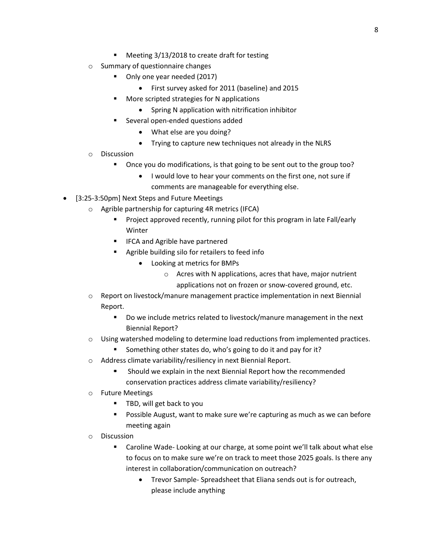- Meeting 3/13/2018 to create draft for testing
- o Summary of questionnaire changes
	- Only one year needed (2017)
		- First survey asked for 2011 (baseline) and 2015
	- More scripted strategies for N applications
		- Spring N application with nitrification inhibitor
	- Several open-ended questions added
		- What else are you doing?
		- Trying to capture new techniques not already in the NLRS
- o Discussion
	- Once you do modifications, is that going to be sent out to the group too?
		- I would love to hear your comments on the first one, not sure if comments are manageable for everything else.
- [3:25-3:50pm] Next Steps and Future Meetings
	- o Agrible partnership for capturing 4R metrics (IFCA)
		- Project approved recently, running pilot for this program in late Fall/early Winter
		- **IFCA and Agrible have partnered**
		- **Agrible building silo for retailers to feed info** 
			- Looking at metrics for BMPs
				- o Acres with N applications, acres that have, major nutrient applications not on frozen or snow-covered ground, etc.
	- o Report on livestock/manure management practice implementation in next Biennial Report.
		- Do we include metrics related to livestock/manure management in the next Biennial Report?
	- $\circ$  Using watershed modeling to determine load reductions from implemented practices.
		- Something other states do, who's going to do it and pay for it?
	- o Address climate variability/resiliency in next Biennial Report.
		- Should we explain in the next Biennial Report how the recommended conservation practices address climate variability/resiliency?
	- o Future Meetings
		- **TBD, will get back to you**
		- Possible August, want to make sure we're capturing as much as we can before meeting again
	- o Discussion
		- Caroline Wade- Looking at our charge, at some point we'll talk about what else to focus on to make sure we're on track to meet those 2025 goals. Is there any interest in collaboration/communication on outreach?
			- Trevor Sample- Spreadsheet that Eliana sends out is for outreach, please include anything